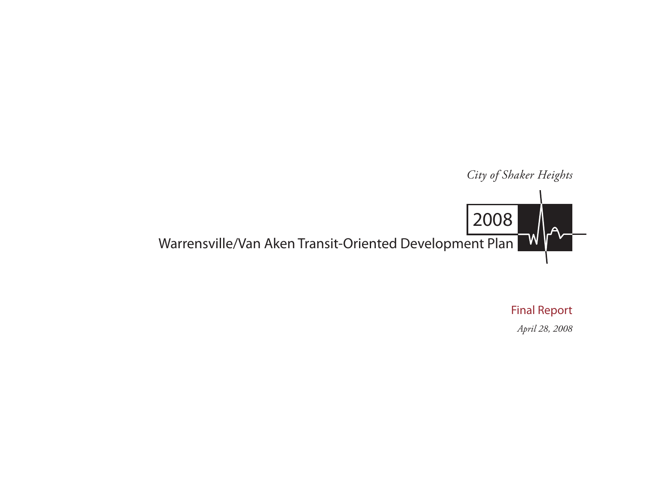

Final Report *April 28, 2008*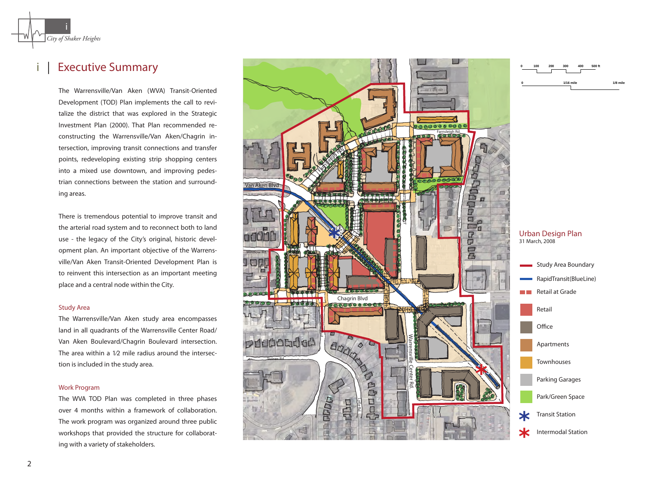

i

# | Executive Summary

The Warrensville/Van Aken (WVA) Transit-Oriented Development (TOD) Plan implements the call to revi talize the district that was explored in the Strategic Investment Plan (2000). That Plan recommended re constructing the Warrensville/Van Aken/Chagrin in tersection, improving transit connections and transfer points, redeveloping existing strip shopping centers into a mixed use downtown, and improving pedes trian connections between the station and surround ing areas. **i**<br> *of Shaker Heights*<br> **EXeCUTIVE SUMMATY**<br>
The Warrensville/Van Aken (W<br>
Development (TOD) Plan implem<br>
talize the district that was expl<br>
Investment Plan (2000). That Pla<br>
constructing the Warrensville/V.<br>
tersection,

There is tremendous potential to improve transit and the arterial road system and to reconnect both to land use - the legacy of the City's original, historic devel opment plan. An important objective of the Warrens ville/Van Aken Transit-Oriented Development Plan is to reinvent this intersection as an important meeting place and a central node within the City.

# Study Area

The Warrensville/Van Aken study area encompasses land in all quadrants of the Warrensville Center Road/ Van Aken Boulevard/Chagrin Boulevard intersection. The area within a 1⁄2 mile radius around the intersec tion is included in the study area.

# Work Program

The WVA TOD Plan was completed in three phases over 4 months within a framework of collaboration. The work program was organized around three public workshops that provided the structure for collaborat -